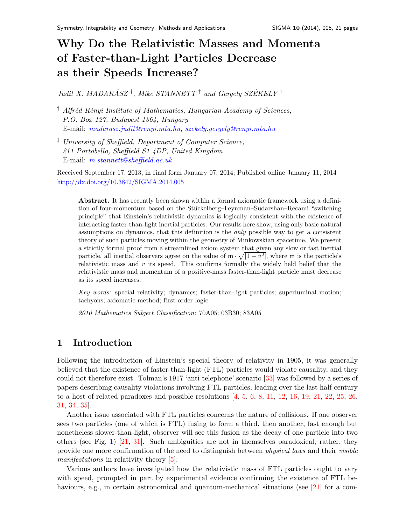# Why Do the Relativistic Masses and Momenta of Faster-than-Light Particles Decrease as their Speeds Increase?

Judit X. MADARÁSZ<sup>†</sup>, Mike STANNETT<sup>‡</sup> and Gergely SZÉKELY<sup>†</sup>

<sup>†</sup> Alfréd Rényi Institute of Mathematics, Hungarian Academy of Sciences, P.O. Box 127, Budapest 1364, Hungary E-mail: [madarasz.judit@renyi.mta.hu,](mailto:madarasz.judit@renyi.mta.hu) [szekely.gergely@renyi.mta.hu](mailto:szekely.gergely@renyi.mta.hu)

‡ University of Sheffield, Department of Computer Science, 211 Portobello, Sheffield S1 4DP, United Kingdom E-mail: [m.stannett@sheffield.ac.uk](mailto:m.stannett@sheffield.ac.uk)

Received September 17, 2013, in final form January 07, 2014; Published online January 11, 2014 <http://dx.doi.org/10.3842/SIGMA.2014.005>

Abstract. It has recently been shown within a formal axiomatic framework using a definition of four-momentum based on the Stückelberg–Feynman–Sudarshan–Recami "switching" principle" that Einstein's relativistic dynamics is logically consistent with the existence of interacting faster-than-light inertial particles. Our results here show, using only basic natural assumptions on dynamics, that this definition is the only possible way to get a consistent theory of such particles moving within the geometry of Minkowskian spacetime. We present a strictly formal proof from a streamlined axiom system that given any slow or fast inertial particle, all inertial observers agree on the value of  $m \cdot \sqrt{1 - v^2}$ , where m is the particle's relativistic mass and  $v$  its speed. This confirms formally the widely held belief that the relativistic mass and momentum of a positive-mass faster-than-light particle must decrease as its speed increases.

Key words: special relativity; dynamics; faster-than-light particles; superluminal motion; tachyons; axiomatic method; first-order logic

2010 Mathematics Subject Classification: 70A05; 03B30; 83A05

# 1 Introduction

Following the introduction of Einstein's special theory of relativity in 1905, it was generally believed that the existence of faster-than-light (FTL) particles would violate causality, and they could not therefore exist. Tolman's 1917 'anti-telephone' scenario [\[33\]](#page-20-0) was followed by a series of papers describing causality violations involving FTL particles, leading over the last half-century to a host of related paradoxes and possible resolutions  $[4, 5, 6, 8, 11, 12, 16, 19, 21, 22, 25, 26,$  $[4, 5, 6, 8, 11, 12, 16, 19, 21, 22, 25, 26,$  $[4, 5, 6, 8, 11, 12, 16, 19, 21, 22, 25, 26,$  $[4, 5, 6, 8, 11, 12, 16, 19, 21, 22, 25, 26,$  $[4, 5, 6, 8, 11, 12, 16, 19, 21, 22, 25, 26,$  $[4, 5, 6, 8, 11, 12, 16, 19, 21, 22, 25, 26,$  $[4, 5, 6, 8, 11, 12, 16, 19, 21, 22, 25, 26,$  $[4, 5, 6, 8, 11, 12, 16, 19, 21, 22, 25, 26,$  $[4, 5, 6, 8, 11, 12, 16, 19, 21, 22, 25, 26,$  $[4, 5, 6, 8, 11, 12, 16, 19, 21, 22, 25, 26,$  $[4, 5, 6, 8, 11, 12, 16, 19, 21, 22, 25, 26,$  $[4, 5, 6, 8, 11, 12, 16, 19, 21, 22, 25, 26,$  $[4, 5, 6, 8, 11, 12, 16, 19, 21, 22, 25, 26,$  $[4, 5, 6, 8, 11, 12, 16, 19, 21, 22, 25, 26,$  $[4, 5, 6, 8, 11, 12, 16, 19, 21, 22, 25, 26,$  $[4, 5, 6, 8, 11, 12, 16, 19, 21, 22, 25, 26,$  $[4, 5, 6, 8, 11, 12, 16, 19, 21, 22, 25, 26,$  $[4, 5, 6, 8, 11, 12, 16, 19, 21, 22, 25, 26,$  $[4, 5, 6, 8, 11, 12, 16, 19, 21, 22, 25, 26,$  $[4, 5, 6, 8, 11, 12, 16, 19, 21, 22, 25, 26,$  $[4, 5, 6, 8, 11, 12, 16, 19, 21, 22, 25, 26,$  $[4, 5, 6, 8, 11, 12, 16, 19, 21, 22, 25, 26,$  $[4, 5, 6, 8, 11, 12, 16, 19, 21, 22, 25, 26,$ [31,](#page-20-1) [34,](#page-20-2) [35\]](#page-20-3).

Another issue associated with FTL particles concerns the nature of collisions. If one observer sees two particles (one of which is FTL) fusing to form a third, then another, fast enough but nonetheless slower-than-light, observer will see this fusion as the decay of one particle into two others (see Fig. [1\)](#page-1-0) [\[21,](#page-19-8) [31\]](#page-20-1). Such ambiguities are not in themselves paradoxical; rather, they provide one more confirmation of the need to distinguish between physical laws and their visible manifestations in relativity theory [\[5\]](#page-19-1).

Various authors have investigated how the relativistic mass of FTL particles ought to vary with speed, prompted in part by experimental evidence confirming the existence of FTL be-haviours, e.g., in certain astronomical and quantum-mechanical situations (see [\[21\]](#page-19-8) for a com-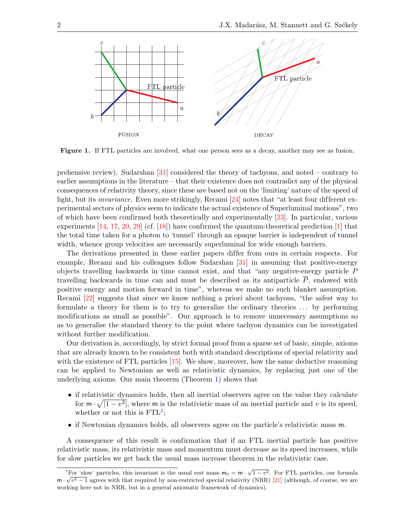

<span id="page-1-0"></span>Figure 1. If FTL particles are involved, what one person sees as a decay, another may see as fusion.

prehensive review). Sudarshan [\[31\]](#page-20-1) considered the theory of tachyons, and noted – contrary to earlier assumptions in the literature – that their existence does not contradict any of the physical consequences of relativity theory, since these are based not on the 'limiting' nature of the speed of light, but its *invariance*. Even more strikingly, Recami [\[24\]](#page-19-12) notes that "at least four different experimental sectors of physics seem to indicate the actual existence of Superluminal motions", two of which have been confirmed both theoretically and experimentally [\[23\]](#page-19-13). In particular, various experiments  $[14, 17, 20, 29]$  $[14, 17, 20, 29]$  $[14, 17, 20, 29]$  $[14, 17, 20, 29]$  $[14, 17, 20, 29]$  $[14, 17, 20, 29]$  $[14, 17, 20, 29]$  (cf.  $[18]$ ) have confirmed the quantum-theoretical prediction  $[1]$  that the total time taken for a photon to 'tunnel' through an opaque barrier is independent of tunnel width, whence group velocities are necessarily superluminal for wide enough barriers.

The derivations presented in these earlier papers differ from ours in certain respects. For example, Recami and his colleagues follow Sudarshan [\[31\]](#page-20-1) in assuming that positive-energy objects travelling backwards in time cannot exist, and that "any negative-energy particle P travelling backwards in time can and must be described as its antiparticle  $\overline{P}$ , endowed with positive energy and motion forward in time", whereas we make no such blanket assumption. Recami [\[22\]](#page-19-9) suggests that since we know nothing a priori about tachyons, "the safest way to formulate a theory for them is to try to generalize the ordinary theories . . . by performing modifications as small as possible". Our approach is to remove unnecessary assumptions so as to generalise the standard theory to the point where tachyon dynamics can be investigated without further modification.

Our derivation is, accordingly, by strict formal proof from a sparse set of basic, simple, axioms that are already known to be consistent both with standard descriptions of special relativity and with the existence of FTL particles [\[15\]](#page-19-19). We show, moreover, how the same deductive reasoning can be applied to Newtonian as well as relativistic dynamics, by replacing just one of the underlying axioms. Our main theorem (Theorem [1\)](#page-9-0) shows that

- if relativistic dynamics holds, then all inertial observers agree on the value they calculate for  $\mathsf{m} \cdot \sqrt{1-v^2}$ , where  $\mathsf{m}$  is the relativistic mass of an inertial particle and v is its speed, whether or not this is  $\text{FTL}^1$  $\text{FTL}^1$ ;
- if Newtonian dynamics holds, all observers agree on the particle's relativistic mass m.

A consequence of this result is confirmation that if an FTL inertial particle has positive relativistic mass, its relativistic mass and momentum must decrease as its speed increases, while for slow particles we get back the usual mass increase theorem in the relativistic case.

<span id="page-1-1"></span><sup>&</sup>lt;sup>1</sup>For 'slow' particles, this invariant is the usual rest mass  $m_0 = m \cdot \sqrt{1 - v^2}$ . For FTL particles, our formula  $m \cdot \sqrt{v^2 - 1}$  agrees with that required by non-restricted special relativity (NRR) [\[21\]](#page-19-8) (although, of course, we are working here not in NRR, but in a general axiomatic framework of dynamics).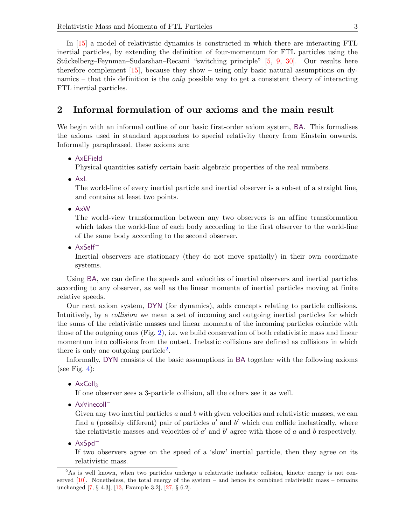In [\[15\]](#page-19-19) a model of relativistic dynamics is constructed in which there are interacting FTL inertial particles, by extending the definition of four-momentum for FTL particles using the Stückelberg–Feynman–Sudarshan–Recami "switching principle" [\[5,](#page-19-1) [9,](#page-19-20) [30\]](#page-20-5). Our results here therefore complement  $[15]$ , because they show – using only basic natural assumptions on dynamics – that this definition is the *only* possible way to get a consistent theory of interacting FTL inertial particles.

### 2 Informal formulation of our axioms and the main result

We begin with an informal outline of our basic first-order axiom system, BA. This formalises the axioms used in standard approaches to special relativity theory from Einstein onwards. Informally paraphrased, these axioms are:

### • AxEField

Physical quantities satisfy certain basic algebraic properties of the real numbers.

• AxL

The world-line of every inertial particle and inertial observer is a subset of a straight line, and contains at least two points.

• AxW

The world-view transformation between any two observers is an affine transformation which takes the world-line of each body according to the first observer to the world-line of the same body according to the second observer.

• AxSelf<sup>−</sup>

Inertial observers are stationary (they do not move spatially) in their own coordinate systems.

Using BA, we can define the speeds and velocities of inertial observers and inertial particles according to any observer, as well as the linear momenta of inertial particles moving at finite relative speeds.

Our next axiom system, DYN (for dynamics), adds concepts relating to particle collisions. Intuitively, by a *collision* we mean a set of incoming and outgoing inertial particles for which the sums of the relativistic masses and linear momenta of the incoming particles coincide with those of the outgoing ones (Fig. [2\)](#page-3-0), i.e. we build conservation of both relativistic mass and linear momentum into collisions from the outset. Inelastic collisions are defined as collisions in which there is only one outgoing particle<sup>[2](#page-2-0)</sup>.

Informally, DYN consists of the basic assumptions in BA together with the following axioms (see Fig. [4\)](#page-7-0):

#### •  $AxColl<sub>3</sub>$

If one observer sees a 3-particle collision, all the others see it as well.

• Ax∀inecoll<sup>−</sup>

Given any two inertial particles  $a$  and  $b$  with given velocities and relativistic masses, we can find a (possibly different) pair of particles  $a'$  and  $b'$  which can collide inelastically, where the relativistic masses and velocities of  $a'$  and  $b'$  agree with those of a and b respectively.

• AxSpd<sup>−</sup>

If two observers agree on the speed of a 'slow' inertial particle, then they agree on its relativistic mass.

<span id="page-2-0"></span><sup>&</sup>lt;sup>2</sup>As is well known, when two particles undergo a relativistic inelastic collision, kinetic energy is not conserved  $[10]$ . Nonetheless, the total energy of the system – and hence its combined relativistic mass – remains unchanged [\[7,](#page-19-22) § 4.3], [\[13,](#page-19-23) Example 3.2], [\[27,](#page-20-6) § 6.2].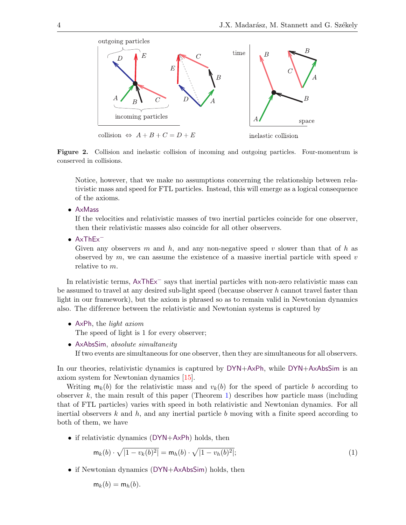

Figure 2. Collision and inelastic collision of incoming and outgoing particles. Four-momentum is conserved in collisions.

<span id="page-3-0"></span>Notice, however, that we make no assumptions concerning the relationship between relativistic mass and speed for FTL particles. Instead, this will emerge as a logical consequence of the axioms.

• AxMass

If the velocities and relativistic masses of two inertial particles coincide for one observer, then their relativistic masses also coincide for all other observers.

• AxThEx<sup>−</sup>

Given any observers m and h, and any non-negative speed v slower than that of h as observed by  $m$ , we can assume the existence of a massive inertial particle with speed  $v$ relative to m.

In relativistic terms, AxThEx<sup>−</sup> says that inertial particles with non-zero relativistic mass can be assumed to travel at any desired sub-light speed (because observer  $h$  cannot travel faster than light in our framework), but the axiom is phrased so as to remain valid in Newtonian dynamics also. The dif ference between the relativistic and Newtonian systems is captured by

• AxPh, the light axiom

The speed of light is 1 for every observer;

• AxAbsSim, absolute simultaneity If two events are simultaneous for one observer, then they are simultaneous for all observers.

In our theories, relativistic dynamics is captured by DYN+AxPh, while DYN+AxAbsSim is an axiom system for Newtonian dynamics [\[15\]](#page-19-19).

Writing  $m_k(b)$  for the relativistic mass and  $v_k(b)$  for the speed of particle b according to observer k, the main result of this paper (Theorem [1\)](#page-9-0) describes how particle mass (including that of FTL particles) varies with speed in both relativistic and Newtonian dynamics. For all inertial observers  $k$  and  $h$ , and any inertial particle b moving with a finite speed according to both of them, we have

• if relativistic dynamics (DYN+AxPh) holds, then

<span id="page-3-1"></span>
$$
\mathsf{m}_k(b) \cdot \sqrt{|1 - v_k(b)^2|} = \mathsf{m}_h(b) \cdot \sqrt{|1 - v_h(b)^2|};\tag{1}
$$

• if Newtonian dynamics (DYN+AxAbsSim) holds, then

 $m_k(b) = m_h(b)$ .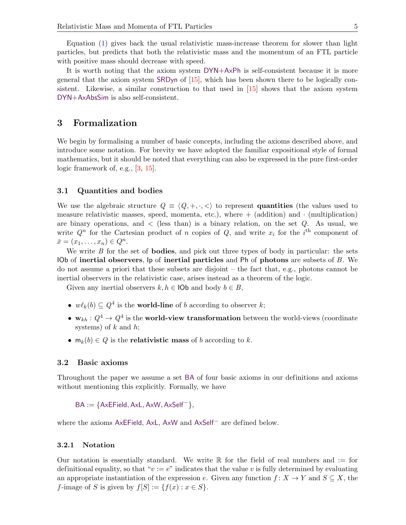Equation [\(1\)](#page-3-1) gives back the usual relativistic mass-increase theorem for slower than light particles, but predicts that both the relativistic mass and the momentum of an FTL particle with positive mass should decrease with speed.

It is worth noting that the axiom system DYN+AxPh is self-consistent because it is more general that the axiom system SRDyn of [\[15\]](#page-19-19), which has been shown there to be logically consistent. Likewise, a similar construction to that used in [\[15\]](#page-19-19) shows that the axiom system DYN+AxAbsSim is also self-consistent.

### 3 Formalization

We begin by formalising a number of basic concepts, including the axioms described above, and introduce some notation. For brevity we have adopted the familiar expositional style of formal mathematics, but it should be noted that everything can also be expressed in the pure first-order logic framework of, e.g., [\[3,](#page-19-24) [15\]](#page-19-19).

### 3.1 Quantities and bodies

We use the algebraic structure  $Q \equiv \langle Q, +, \cdot, \langle \cdot \rangle$  to represent quantities (the values used to measure relativistic masses, speed, momenta, etc.), where  $+$  (addition) and  $\cdot$  (multiplication) are binary operations, and  $\langle$  (less than) is a binary relation, on the set Q. As usual, we write  $Q^n$  for the Cartesian product of n copies of  $Q$ , and write  $x_i$  for the i<sup>th</sup> component of  $\bar{x} = (x_1, \ldots, x_n) \in Q^n$ .

We write  $B$  for the set of **bodies**, and pick out three types of body in particular: the sets IOb of inertial observers,  $\vert \mathbf{p} \vert$  of inertial particles and Ph of photons are subsets of B. We do not assume a priori that these subsets are disjoint – the fact that, e.g., photons cannot be inertial observers in the relativistic case, arises instead as a theorem of the logic.

Given any inertial observers  $k, h \in \text{IOb}$  and body  $b \in B$ ,

- $w\ell_k(b) \subseteq Q^4$  is the **world-line** of b according to observer k;
- $\mathbf{w}_{kh}: Q^4 \to Q^4$  is the world-view transformation between the world-views (coordinate systems) of  $k$  and  $h$ ;
- $m_k(b) \in Q$  is the **relativistic mass** of b according to k.

#### 3.2 Basic axioms

Throughout the paper we assume a set BA of four basic axioms in our definitions and axioms without mentioning this explicitly. Formally, we have

 $BA := \{AxEField, AxL, AxW, AxSelf^{-}\},\$ 

where the axioms AxEField, AxL, AxW and AxSelf<sup>−</sup> are defined below.

#### 3.2.1 Notation

Our notation is essentially standard. We write  $\mathbb R$  for the field of real numbers and  $:=$  for definitional equality, so that " $v := e$ " indicates that the value v is fully determined by evaluating an appropriate instantiation of the expression e. Given any function  $f: X \to Y$  and  $S \subseteq X$ , the f-image of S is given by  $f[S] := \{f(x) : x \in S\}.$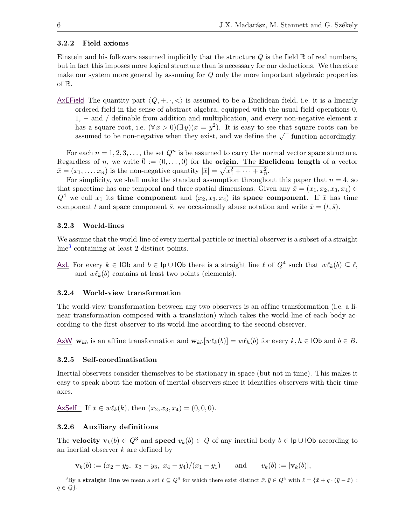### 3.2.2 Field axioms

Einstein and his followers assumed implicitly that the structure  $Q$  is the field  $\mathbb R$  of real numbers, but in fact this imposes more logical structure than is necessary for our deductions. We therefore make our system more general by assuming for Q only the more important algebraic properties of R.

AxEField The quantity part  $\langle Q, +, \cdot, \langle \cdot \rangle$  is assumed to be a Euclidean field, i.e. it is a linearly ordered field in the sense of abstract algebra, equipped with the usual field operations 0, 1, – and / definable from addition and multiplication, and every non-negative element x has a square root, i.e.  $(\forall x > 0)(\exists y)(x = y^2)$ . It is easy to see that square roots can be as a square root, i.e.  $(\forall x > 0)$   $\exists y$ ,  $x = y$  ). It is easy to see that square roots can be assumed to be non-negative when they exist, and we define the  $\sqrt{\ }$  function accordingly.

For each  $n = 1, 2, 3, \ldots$ , the set  $Q^n$  is be assumed to carry the normal vector space structure. Regardless of n, we write  $\bar{0} := (0, \ldots, 0)$  for the **origin**. The **Euclidean length** of a vector  $\bar{x} = (x_1, \ldots, x_n)$  is the non-negative quantity  $|\bar{x}| = \sqrt{x_1^2 + \cdots + x_n^2}$ .

For simplicity, we shall make the standard assumption throughout this paper that  $n = 4$ , so that spacetime has one temporal and three spatial dimensions. Given any  $\bar{x} = (x_1, x_2, x_3, x_4) \in$  $Q^4$  we call  $x_1$  its time component and  $(x_2, x_3, x_4)$  its space component. If  $\bar{x}$  has time component t and space component  $\bar{s}$ , we occasionally abuse notation and write  $\bar{x} = (t, \bar{s})$ .

### 3.2.3 World-lines

We assume that the world-line of every inertial particle or inertial observer is a subset of a straight line[3](#page-5-0) containing at least 2 distinct points.

AxL For every  $k \in \textsf{IOb}$  and  $b \in \textsf{lp} \cup \textsf{IOb}$  there is a straight line  $\ell$  of  $Q^4$  such that  $w\ell_k(b) \subseteq \ell$ , and  $w\ell_k(b)$  contains at least two points (elements).

### 3.2.4 World-view transformation

The world-view transformation between any two observers is an affine transformation (i.e. a linear transformation composed with a translation) which takes the world-line of each body according to the first observer to its world-line according to the second observer.

 $\underline{\mathsf{AxW}}$  w<sub>kh</sub> is an affine transformation and  $\mathbf{w}_{kh}[w\ell_k(b)] = w\ell_h(b)$  for every  $k, h \in \mathsf{IOb}$  and  $b \in B$ .

#### 3.2.5 Self-coordinatisation

Inertial observers consider themselves to be stationary in space (but not in time). This makes it easy to speak about the motion of inertial observers since it identifies observers with their time axes.

AxSelf<sup>-</sup> If  $\bar{x} \in w\ell_k(k)$ , then  $(x_2, x_3, x_4) = (0, 0, 0)$ .

### 3.2.6 Auxiliary definitions

The **velocity**  $\mathbf{v}_k(b) \in Q^3$  and **speed**  $v_k(b) \in Q$  of any inertial body  $b \in \mathsf{lp} \cup \mathsf{lob}$  according to an inertial observer k are defined by

 $\mathbf{v}_k(b) := (x_2 - y_2, x_3 - y_3, x_4 - y_4)/(x_1 - y_1)$  and  $v_k(b) := |\mathbf{v}_k(b)|$ ,

<span id="page-5-0"></span><sup>&</sup>lt;sup>3</sup>By a straight line we mean a set  $\ell \subseteq Q^4$  for which there exist distinct  $\bar{x}, \bar{y} \in Q^4$  with  $\ell = {\bar{x} + q \cdot (\bar{y} - \bar{x})}$ :  $q \in Q$ .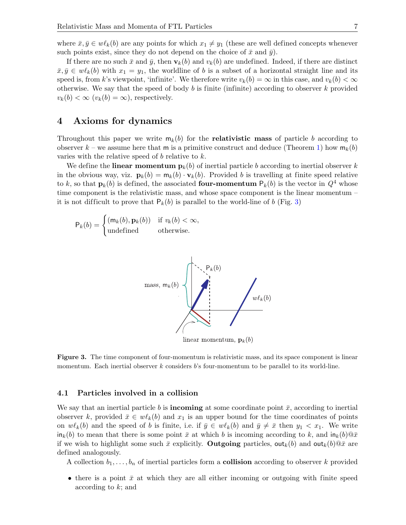where  $\bar{x}, \bar{y} \in w\ell_k(b)$  are any points for which  $x_1 \neq y_1$  (these are well defined concepts whenever such points exist, since they do not depend on the choice of  $\bar{x}$  and  $\bar{y}$ ).

If there are no such  $\bar{x}$  and  $\bar{y}$ , then  $\mathbf{v}_k(b)$  and  $v_k(b)$  are undefined. Indeed, if there are distinct  $\bar{x}, \bar{y} \in w\ell_k(b)$  with  $x_1 = y_1$ , the worldline of b is a subset of a horizontal straight line and its speed is, from k's viewpoint, 'infinite'. We therefore write  $v_k(b) = \infty$  in this case, and  $v_k(b) < \infty$ otherwise. We say that the speed of body b is finite (infinite) according to observer k provided  $v_k(b) < \infty$   $(v_k(b) = \infty)$ , respectively.

### 4 Axioms for dynamics

Throughout this paper we write  $m_k(b)$  for the **relativistic mass** of particle b according to observer k – we assume here that m is a primitive construct and deduce (Theorem [1\)](#page-9-0) how  $m_k(b)$ varies with the relative speed of  $b$  relative to  $k$ .

We define the **linear momentum**  $\mathbf{p}_k(b)$  of inertial particle b according to inertial observer k in the obvious way, viz.  $\mathbf{p}_k(b) = \mathbf{m}_k(b) \cdot \mathbf{v}_k(b)$ . Provided b is travelling at finite speed relative to k, so that  $\mathbf{p}_k(b)$  is defined, the associated **four-momentum**  $P_k(b)$  is the vector in  $Q^4$  whose time component is the relativistic mass, and whose space component is the linear momentum – it is not difficult to prove that  $P_k(b)$  is parallel to the world-line of b (Fig. [3\)](#page-6-0)

$$
\mathsf{P}_k(b) = \begin{cases} (\mathsf{m}_k(b), \mathbf{p}_k(b)) & \text{if } v_k(b) < \infty, \\ \text{undefined} & \text{otherwise.} \end{cases}
$$



<span id="page-6-0"></span>Figure 3. The time component of four-momentum is relativistic mass, and its space component is linear momentum. Each inertial observer  $k$  considers  $b$ 's four-momentum to be parallel to its world-line.

### 4.1 Particles involved in a collision

We say that an inertial particle b is **incoming** at some coordinate point  $\bar{x}$ , according to inertial observer k, provided  $\bar{x} \in w\ell_k(b)$  and  $x_1$  is an upper bound for the time coordinates of points on  $w\ell_k(b)$  and the speed of b is finite, i.e. if  $\bar{y} \in w\ell_k(b)$  and  $\bar{y} \neq \bar{x}$  then  $y_1 < x_1$ . We write  $\ln_k(b)$  to mean that there is some point  $\bar{x}$  at which b is incoming according to k, and  $\ln_k(b)$   $\bar{x}$ if we wish to highlight some such  $\bar{x}$  explicitly. **Outgoing** particles, out<sub>k</sub>(b) and out<sub>k</sub>(b)  $\bar{x}$  are defined analogously.

A collection  $b_1, \ldots, b_n$  of inertial particles form a **collision** according to observer k provided

• there is a point  $\bar{x}$  at which they are all either incoming or outgoing with finite speed according to k; and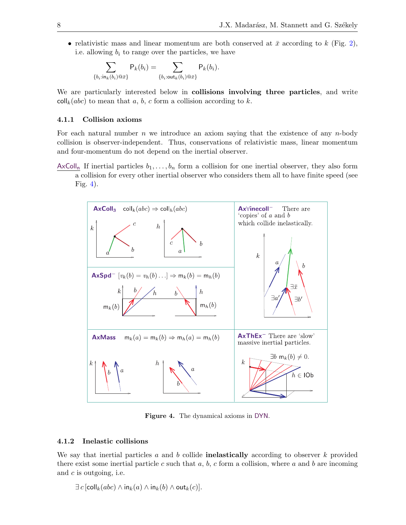• relativistic mass and linear momentum are both conserved at  $\bar{x}$  according to k (Fig. [2\)](#page-3-0), i.e. allowing  $b_i$  to range over the particles, we have

$$
\sum_{\{b_i: \text{in}_k(b_i) \mathbf{\mathbb{Q}}_{\bar{x}}\}} \mathsf{P}_k(b_i) = \sum_{\{b_i: \text{out}_k(b_i) \mathbf{\mathbb{Q}}_{\bar{x}}\}} \mathsf{P}_k(b_i).
$$

We are particularly interested below in **collisions involving three particles**, and write  $\text{coll}_k(abc)$  to mean that a, b, c form a collision according to k.

### 4.1.1 Collision axioms

For each natural number  $n$  we introduce an axiom saying that the existence of any  $n$ -body collision is observer-independent. Thus, conservations of relativistic mass, linear momentum and four-momentum do not depend on the inertial observer.

AxColl<sub>n</sub> If inertial particles  $b_1, \ldots, b_n$  form a collision for one inertial observer, they also form a collision for every other inertial observer who considers them all to have finite speed (see Fig. [4\)](#page-7-0).



<span id="page-7-0"></span>Figure 4. The dynamical axioms in DYN.

### 4.1.2 Inelastic collisions

We say that inertial particles a and b collide **inelastically** according to observer k provided there exist some inertial particle c such that a, b, c form a collision, where a and b are incoming and  $c$  is outgoing, i.e.

 $\exists c$  [coll<sub>k</sub>(abc)  $\wedge$  in<sub>k</sub>(a)  $\wedge$  in<sub>k</sub>(b)  $\wedge$  out<sub>k</sub>(c)].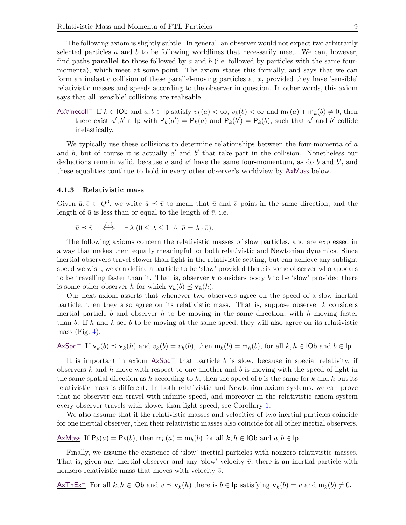The following axiom is slightly subtle. In general, an observer would not expect two arbitrarily selected particles a and b to be following worldlines that necessarily meet. We can, however, find paths **parallel to** those followed by  $a$  and  $b$  (i.e. followed by particles with the same fourmomenta), which meet at some point. The axiom states this formally, and says that we can form an inelastic collision of these parallel-moving particles at  $\bar{x}$ , provided they have 'sensible' relativistic masses and speeds according to the observer in question. In other words, this axiom says that all 'sensible' collisions are realisable.

<u>Ax∀inecoll</u> If  $k \in$  IOb and  $a, b \in$  Ip satisfy  $v_k(a) < \infty$ ,  $v_k(b) < \infty$  and  $m_k(a) + m_k(b) \neq 0$ , then there exist  $a', b' \in \text{lp with } P_k(a') = P_k(a)$  and  $P_k(b') = P_k(b)$ , such that a' and b' collide inelastically.

We typically use these collisions to determine relationships between the four-momenta of  $a$ and b, but of course it is actually  $a'$  and b' that take part in the collision. Nonetheless our deductions remain valid, because a and  $a'$  have the same four-momentum, as do b and b', and these equalities continue to hold in every other observer's worldview by AxMass below.

### 4.1.3 Relativistic mass

Given  $\bar{u}, \bar{v} \in Q^3$ , we write  $\bar{u} \preceq \bar{v}$  to mean that  $\bar{u}$  and  $\bar{v}$  point in the same direction, and the length of  $\bar{u}$  is less than or equal to the length of  $\bar{v}$ , i.e.

$$
\bar{u} \preceq \bar{v} \quad \stackrel{\text{def}}{\iff} \quad \exists \lambda \ (0 \leq \lambda \leq 1 \ \wedge \ \bar{u} = \lambda \cdot \bar{v}).
$$

The following axioms concern the relativistic masses of slow particles, and are expressed in a way that makes them equally meaningful for both relativistic and Newtonian dynamics. Since inertial observers travel slower than light in the relativistic setting, but can achieve any sublight speed we wish, we can define a particle to be 'slow' provided there is some observer who appears to be travelling faster than it. That is, observer  $k$  considers body  $b$  to be 'slow' provided there is some other observer h for which  $\mathbf{v}_k(b) \preceq \mathbf{v}_k(h)$ .

Our next axiom asserts that whenever two observers agree on the speed of a slow inertial particle, then they also agree on its relativistic mass. That is, suppose observer  $k$  considers inertial particle b and observer h to be moving in the same direction, with h moving faster than b. If h and k see b to be moving at the same speed, they will also agree on its relativistic mass (Fig. [4\)](#page-7-0).

$$
\mathsf{AxSpd}^- \text{ If } \mathbf{v}_k(b) \preceq \mathbf{v}_k(h) \text{ and } v_k(b) = v_h(b), \text{ then } \mathsf{m}_k(b) = \mathsf{m}_h(b), \text{ for all } k, h \in \textsf{IOb} \text{ and } b \in \textsf{lp}.
$$

It is important in axiom  $AxSpd^-$  that particle b is slow, because in special relativity, if observers  $k$  and  $h$  move with respect to one another and  $b$  is moving with the speed of light in the same spatial direction as h according to k, then the speed of b is the same for k and h but its relativistic mass is different. In both relativistic and Newtonian axiom systems, we can prove that no observer can travel with infinite speed, and moreover in the relativistic axiom system every observer travels with slower than light speed, see Corollary [1.](#page-13-0)

We also assume that if the relativistic masses and velocities of two inertial particles coincide for one inertial observer, then their relativistic masses also coincide for all other inertial observers.

AxMass If  $P_k(a) = P_k(b)$ , then  $m_h(a) = m_h(b)$  for all  $k, h \in$  IOb and  $a, b \in$  Ip.

Finally, we assume the existence of 'slow' inertial particles with nonzero relativistic masses. That is, given any inertial observer and any 'slow' velocity  $\bar{v}$ , there is an inertial particle with nonzero relativistic mass that moves with velocity  $\bar{v}$ .

 $AxThEx^-$  For all  $k, h \in$  IOb and  $\bar{v} \preceq v_k(h)$  there is  $b \in \text{lp}$  satisfying  $v_k(b) = \bar{v}$  and  $m_k(b) \neq 0$ .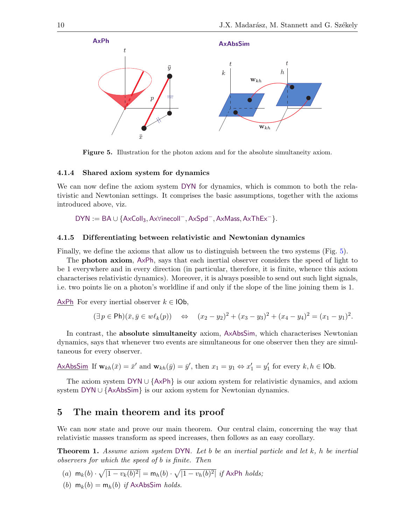

<span id="page-9-1"></span>Figure 5. Illustration for the photon axiom and for the absolute simultaneity axiom.

#### 4.1.4 Shared axiom system for dynamics

We can now define the axiom system DYN for dynamics, which is common to both the relativistic and Newtonian settings. It comprises the basic assumptions, together with the axioms introduced above, viz.

DYN := BA ∪ {AxColl3, Ax∀inecoll−, AxSpd−, AxMass, AxThEx−}.

#### 4.1.5 Dif ferentiating between relativistic and Newtonian dynamics

Finally, we define the axioms that allow us to distinguish between the two systems (Fig. [5\)](#page-9-1).

The photon axiom, AxPh, says that each inertial observer considers the speed of light to be 1 everywhere and in every direction (in particular, therefore, it is finite, whence this axiom characterises relativistic dynamics). Moreover, it is always possible to send out such light signals, i.e. two points lie on a photon's worldline if and only if the slope of the line joining them is 1.

AxPh For every inertial observer  $k \in$  IOb,

$$
(\exists p \in \mathsf{Ph})(\bar{x}, \bar{y} \in w\ell_k(p)) \Leftrightarrow (x_2 - y_2)^2 + (x_3 - y_3)^2 + (x_4 - y_4)^2 = (x_1 - y_1)^2.
$$

In contrast, the absolute simultaneity axiom, AxAbsSim, which characterises Newtonian dynamics, says that whenever two events are simultaneous for one observer then they are simultaneous for every observer.

$$
\underline{\mathsf{AxAbsSim}} \text{ If } \mathbf{w}_{kh}(\bar{x}) = \bar{x}' \text{ and } \mathbf{w}_{kh}(\bar{y}) = \bar{y}', \text{ then } x_1 = y_1 \Leftrightarrow x_1' = y_1' \text{ for every } k, h \in \mathsf{IOb}.
$$

The axiom system DYN ∪  $\{AxPh\}$  is our axiom system for relativistic dynamics, and axiom system DYN ∪ {AxAbsSim} is our axiom system for Newtonian dynamics.

# 5 The main theorem and its proof

We can now state and prove our main theorem. Our central claim, concerning the way that relativistic masses transform as speed increases, then follows as an easy corollary.

<span id="page-9-0"></span>Theorem 1. Assume axiom system DYN. Let b be an inertial particle and let k, h be inertial observers for which the speed of b is finite. Then

(a) 
$$
\mathbf{m}_k(b) \cdot \sqrt{|1 - v_k(b)^2|} = \mathbf{m}_h(b) \cdot \sqrt{|1 - v_h(b)^2|}
$$
 if AxPh holds;  
(b)  $\mathbf{m}_k(b) = \mathbf{m}_k(b)$  if AxAheSim holds:

(b)  $m_k(b) = m_h(b)$  if AxAbsSim holds.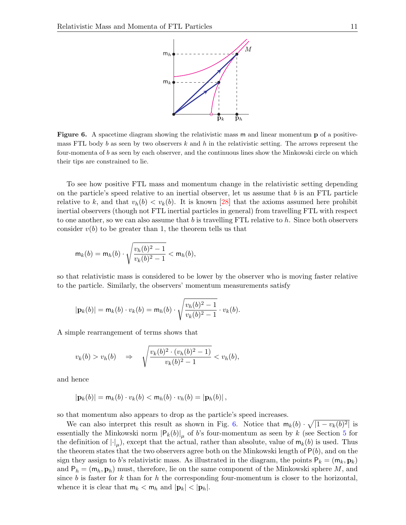

<span id="page-10-0"></span>Figure 6. A spacetime diagram showing the relativistic mass m and linear momentum p of a positivemass FTL body b as seen by two observers k and h in the relativistic setting. The arrows represent the four-momenta of b as seen by each observer, and the continuous lines show the Minkowski circle on which their tips are constrained to lie.

To see how positive FTL mass and momentum change in the relativistic setting depending on the particle's speed relative to an inertial observer, let us assume that  $b$  is an FTL particle relative to k, and that  $v_h(b) < v_k(b)$ . It is known [\[28\]](#page-20-7) that the axioms assumed here prohibit inertial observers (though not FTL inertial particles in general) from travelling FTL with respect to one another, so we can also assume that b is travelling FTL relative to  $h$ . Since both observers consider  $v(b)$  to be greater than 1, the theorem tells us that

$$
\mathsf{m}_k(b)=\mathsf{m}_h(b)\cdot\sqrt{\frac{v_h(b)^2-1}{v_k(b)^2-1}}<\mathsf{m}_h(b),
$$

so that relativistic mass is considered to be lower by the observer who is moving faster relative to the particle. Similarly, the observers' momentum measurements satisfy

$$
|\mathbf{p}_k(b)| = \mathsf{m}_k(b) \cdot v_k(b) = \mathsf{m}_h(b) \cdot \sqrt{\frac{v_h(b)^2 - 1}{v_k(b)^2 - 1}} \cdot v_k(b).
$$

A simple rearrangement of terms shows that

$$
v_k(b) > v_h(b) \quad \Rightarrow \quad \sqrt{\frac{v_k(b)^2 \cdot (v_h(b)^2 - 1)}{v_k(b)^2 - 1}} < v_h(b),
$$

and hence

$$
|\mathbf{p}_k(b)| = \mathsf{m}_k(b) \cdot v_k(b) < \mathsf{m}_h(b) \cdot v_h(b) = |\mathbf{p}_h(b)|,
$$

so that momentum also appears to drop as the particle's speed increases.

We can also interpret this result as shown in Fig. [6.](#page-10-0) Notice that  $m_k(b) \cdot \sqrt{1 - v_k(b)^2}$  is essentially the Minkowski norm  $|P_k(b)|_\mu$  of b's four-momentum as seen by k (see Section [5](#page-11-0) for the definition of  $|\cdot|_\mu$ , except that the actual, rather than absolute, value of  $m_k(b)$  is used. Thus the theorem states that the two observers agree both on the Minkowski length of  $P(b)$ , and on the sign they assign to b's relativistic mass. As illustrated in the diagram, the points  $P_k = (m_k, \mathbf{p}_k)$ and  $P_h = (m_h, p_h)$  must, therefore, lie on the same component of the Minkowski sphere M, and since b is faster for k than for h the corresponding four-momentum is closer to the horizontal, whence it is clear that  $m_k < m_h$  and  $|\mathbf{p}_k| < |\mathbf{p}_h|$ .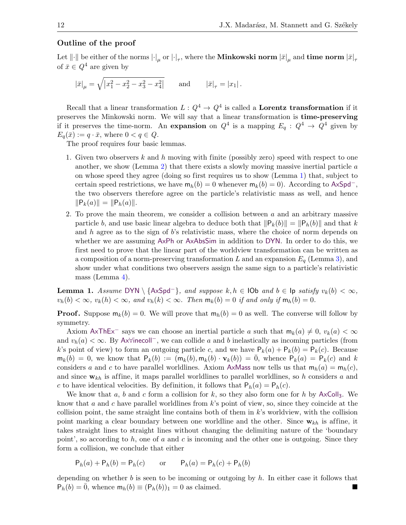### <span id="page-11-0"></span>Outline of the proof

Let  $\|\cdot\|$  be either of the norms  $|\cdot|_\mu$  or  $|\cdot|_\tau,$  where the **Minkowski norm**  $|\bar x|_\mu$  and **time norm**  $|\bar x|_\tau$ of  $\bar{x} \in Q^4$  are given by

$$
|\bar{x}|_{\mu} = \sqrt{|x_1^2 - x_2^2 - x_3^2 - x_4^2|}
$$
 and  $|\bar{x}|_{\tau} = |x_1|$ .

Recall that a linear transformation  $L: Q^4 \to Q^4$  is called a Lorentz transformation if it preserves the Minkowski norm. We will say that a linear transformation is time-preserving if it preserves the time-norm. An expansion on  $Q^4$  is a mapping  $E_q: Q^4 \to Q^4$  given by  $E_q(\bar{x}) := q \cdot \bar{x}$ , where  $0 < q \in Q$ .

The proof requires four basic lemmas.

- 1. Given two observers  $k$  and  $h$  moving with finite (possibly zero) speed with respect to one another, we show (Lemma [2\)](#page-12-0) that there exists a slowly moving massive inertial particle a on whose speed they agree (doing so first requires us to show (Lemma [1\)](#page-11-1) that, subject to certain speed restrictions, we have  $m_h(b) = 0$  whenever  $m_k(b) = 0$ ). According to AxSpd<sup>-</sup>, the two observers therefore agree on the particle's relativistic mass as well, and hence  $\|P_k(a)\| = \|P_h(a)\|.$
- 2. To prove the main theorem, we consider a collision between  $a$  and an arbitrary massive particle b, and use basic linear algebra to deduce both that  $\|P_k(b)\| = \|P_h(b)\|$  and that k and h agree as to the sign of b's relativistic mass, where the choice of norm depends on whether we are assuming AxPh or AxAbsSim in addition to DYN. In order to do this, we first need to prove that the linear part of the worldview transformation can be written as a composition of a norm-preserving transformation L and an expansion  $E_q$  (Lemma [3\)](#page-12-1), and show under what conditions two observers assign the same sign to a particle's relativistic mass (Lemma [4\)](#page-13-1).

<span id="page-11-1"></span>**Lemma 1.** Assume DYN \ {AxSpd<sup>-</sup>}, and suppose  $k, h \in$  IOb and  $b \in$  Ip satisfy  $v_k(b) < \infty$ ,  $v_h(b) < \infty$ ,  $v_k(h) < \infty$ , and  $v_h(k) < \infty$ . Then  $m_k(b) = 0$  if and only if  $m_h(b) = 0$ .

**Proof.** Suppose  $m_k(b) = 0$ . We will prove that  $m_h(b) = 0$  as well. The converse will follow by symmetry.

Axiom AxThEx<sup>−</sup> says we can choose an inertial particle a such that  $m_k(a) \neq 0$ ,  $v_k(a) < \infty$ and  $v_h(a) < \infty$ . By Ax∀inecoll<sup>-</sup>, we can collide a and b inelastically as incoming particles (from k's point of view) to form an outgoing particle c, and we have  $P_k(a) + P_k(b) = P_k(c)$ . Because  $m_k(b) = 0$ , we know that  $P_k(b) := (m_k(b), m_k(b) \cdot v_k(b)) = 0$ , whence  $P_k(a) = P_k(c)$  and k considers a and c to have parallel worldlines. Axiom AxMass now tells us that  $m_h(a) = m_h(c)$ , and since  $w_{kh}$  is affine, it maps parallel worldlines to parallel worldlines, so h considers a and c to have identical velocities. By definition, it follows that  $P_h(a) = P_h(c)$ .

We know that a, b and c form a collision for k, so they also form one for h by  $AxColl<sub>3</sub>$ . We know that a and c have parallel worldlines from  $k$ 's point of view, so, since they coincide at the collision point, the same straight line contains both of them in  $k$ 's worldview, with the collision point marking a clear boundary between one worldline and the other. Since  $\mathbf{w}_{kh}$  is affine, it takes straight lines to straight lines without changing the delimiting nature of the 'boundary point', so according to h, one of a and c is incoming and the other one is outgoing. Since they form a collision, we conclude that either

$$
P_h(a) + P_h(b) = P_h(c) \qquad \text{or} \qquad P_h(a) = P_h(c) + P_h(b)
$$

depending on whether b is seen to be incoming or outgoing by  $h$ . In either case it follows that  $P_h(b) = 0$ , whence  $m_h(b) \equiv (P_h(b))_1 = 0$  as claimed.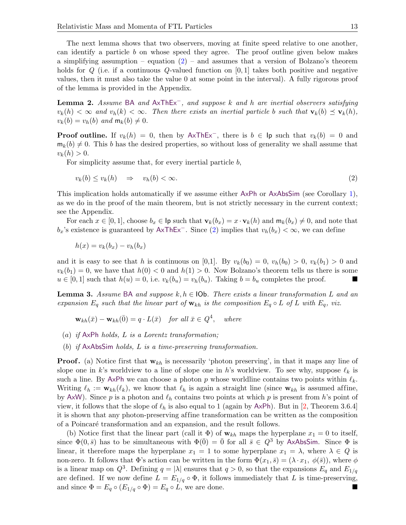The next lemma shows that two observers, moving at finite speed relative to one another, can identify a particle b on whose speed they agree. The proof outline given below makes a simplifying assumption – equation  $(2)$  – and assumes that a version of Bolzano's theorem holds for  $Q$  (i.e. if a continuous  $Q$ -valued function on  $[0,1]$  takes both positive and negative values, then it must also take the value 0 at some point in the interval). A fully rigorous proof of the lemma is provided in the Appendix.

<span id="page-12-0"></span>**Lemma 2.** Assume BA and  $AxThEx^-$ , and suppose k and h are inertial observers satisfying  $v_k(h) < \infty$  and  $v_h(k) < \infty$ . Then there exists an inertial particle b such that  $\mathbf{v}_k(b) \preceq \mathbf{v}_k(h)$ ,  $v_k(b) = v_h(b)$  and  $m_k(b) \neq 0$ .

**Proof outline.** If  $v_k(h) = 0$ , then by AxThEx<sup>-</sup>, there is  $b \in \text{lp}$  such that  $v_k(b) = 0$  and  $m_k(b) \neq 0$ . This b has the desired properties, so without loss of generality we shall assume that  $v_k(h) > 0.$ 

For simplicity assume that, for every inertial particle b,

<span id="page-12-2"></span>
$$
v_k(b) \le v_k(h) \quad \Rightarrow \quad v_h(b) < \infty. \tag{2}
$$

This implication holds automatically if we assume either AxPh or AxAbsSim (see Corollary [1\)](#page-13-0), as we do in the proof of the main theorem, but is not strictly necessary in the current context; see the Appendix.

For each  $x \in [0,1]$ , choose  $b_x \in \mathsf{lp}$  such that  $\mathbf{v}_k(b_x) = x \cdot \mathbf{v}_k(h)$  and  $\mathsf{m}_k(b_x) \neq 0$ , and note that  $b_x$ 's existence is guaranteed by AxThEx<sup>-</sup>. Since [\(2\)](#page-12-2) implies that  $v_h(b_x) < \infty$ , we can define

$$
h(x) = v_k(b_x) - v_h(b_x)
$$

and it is easy to see that h is continuous on [0,1]. By  $v_k(b_0) = 0$ ,  $v_h(b_0) > 0$ ,  $v_k(b_1) > 0$  and  $v_k(b_1) = 0$ , we have that  $h(0) < 0$  and  $h(1) > 0$ . Now Bolzano's theorem tells us there is some  $u \in [0,1]$  such that  $h(u) = 0$ , i.e.  $v_k(b_u) = v_h(b_u)$ . Taking  $b = b_u$  completes the proof.

<span id="page-12-1"></span>**Lemma 3.** Assume BA and suppose k,  $h \in$  IOb. There exists a linear transformation L and an expansion  $E_q$  such that the linear part of  $w_{kh}$  is the composition  $E_q \circ L$  of L with  $E_q$ , viz.

$$
\mathbf{w}_{kh}(\bar{x}) - \mathbf{w}_{kh}(\bar{0}) = q \cdot L(\bar{x}) \quad \text{for all } \bar{x} \in Q^4, \quad \text{where}
$$

- (a) if  $AxPh$  holds,  $L$  is a Lorentz transformation;
- (b) if AxAbsSim holds, L is a time-preserving transformation.

**Proof.** (a) Notice first that  $w_{kh}$  is necessarily 'photon preserving', in that it maps any line of slope one in k's worldview to a line of slope one in h's worldview. To see why, suppose  $\ell_k$  is such a line. By AxPh we can choose a photon p whose worldline contains two points within  $\ell_k$ . Writing  $\ell_h := \mathbf{w}_{kh}(\ell_k)$ , we know that  $\ell_h$  is again a straight line (since  $\mathbf{w}_{kh}$  is assumed affine, by AxW). Since p is a photon and  $\ell_h$  contains two points at which p is present from h's point of view, it follows that the slope of  $\ell_h$  is also equal to 1 (again by AxPh). But in [\[2,](#page-19-25) Theorem 3.6.4] it is shown that any photon-preserving affine transformation can be written as the composition of a Poincar´e transformation and an expansion, and the result follows.

(b) Notice first that the linear part (call it  $\Phi$ ) of  $w_{kh}$  maps the hyperplane  $x_1 = 0$  to itself, since  $\Phi(0, \bar{s})$  has to be simultaneous with  $\Phi(\bar{0}) = \bar{0}$  for all  $\bar{s} \in Q^3$  by AxAbsSim. Since  $\Phi$  is linear, it therefore maps the hyperplane  $x_1 = 1$  to some hyperplane  $x_1 = \lambda$ , where  $\lambda \in Q$  is non-zero. It follows that  $\Phi$ 's action can be written in the form  $\Phi(x_1, \bar{s}) = (\lambda \cdot x_1, \phi(\bar{s}))$ , where  $\phi$ is a linear map on  $Q^3$ . Defining  $q = |\lambda|$  ensures that  $q > 0$ , so that the expansions  $E_q$  and  $E_{1/q}$ are defined. If we now define  $L = E_{1/q} \circ \Phi$ , it follows immediately that L is time-preserving, and since  $\Phi = E_q \circ (E_{1/q} \circ \Phi) = E_q \circ L$ , we are done.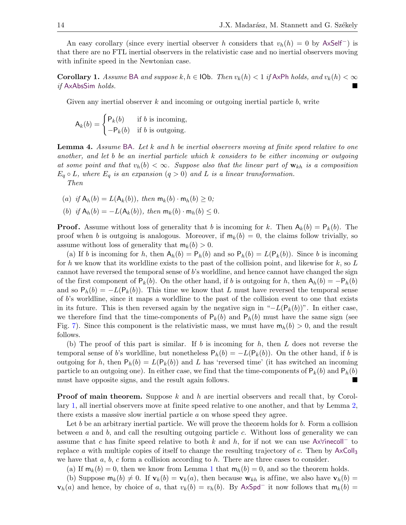An easy corollary (since every inertial observer h considers that  $v_h(h) = 0$  by AxSelf<sup>-</sup>) is that there are no FTL inertial observers in the relativistic case and no inertial observers moving with infinite speed in the Newtonian case.

<span id="page-13-0"></span>Corollary 1. Assume BA and suppose  $k, h \in \text{IOb}$ . Then  $v_k(h) < 1$  if AxPh holds, and  $v_k(h) < \infty$ if AxAbsSim holds.

Given any inertial observer  $k$  and incoming or outgoing inertial particle  $b$ , write

$$
A_k(b) = \begin{cases} P_k(b) & \text{if } b \text{ is incoming,} \\ -P_k(b) & \text{if } b \text{ is outgoing.} \end{cases}
$$

<span id="page-13-1"></span>Lemma 4. Assume BA. Let k and h be inertial observers moving at finite speed relative to one another, and let b be an inertial particle which k considers to be either incoming or outgoing at some point and that  $v_h(b) < \infty$ . Suppose also that the linear part of  $\mathbf{w}_{kh}$  is a composition  $E_q \circ L$ , where  $E_q$  is an expansion  $(q > 0)$  and L is a linear transformation. Then

(a) if  $A_h(b) = L(A_k(b))$ , then  $m_k(b) \cdot m_h(b) \geq 0$ ;

(b) if 
$$
A_h(b) = -L(A_k(b))
$$
, then  $m_k(b) \cdot m_h(b) \leq 0$ .

**Proof.** Assume without loss of generality that b is incoming for k. Then  $A_k(b) = P_k(b)$ . The proof when b is outgoing is analogous. Moreover, if  $m_k(b) = 0$ , the claims follow trivially, so assume without loss of generality that  $m_k(b) > 0$ .

(a) If b is incoming for h, then  $A_h(b) = P_h(b)$  and so  $P_h(b) = L(P_k(b))$ . Since b is incoming for h we know that its worldline exists to the past of the collision point, and likewise for  $k$ , so L cannot have reversed the temporal sense of b's worldline, and hence cannot have changed the sign of the first component of  $P_k(b)$ . On the other hand, if b is outgoing for h, then  $A_h(b) = -P_h(b)$ and so  $P_h(b) = -L(P_k(b))$ . This time we know that L must have reversed the temporal sense of  $b$ 's worldline, since it maps a worldline to the past of the collision event to one that exists in its future. This is then reversed again by the negative sign in " $-L(P_k(b))$ ". In either case, we therefore find that the time-components of  $P_k(b)$  and  $P_h(b)$  must have the same sign (see Fig. [7\)](#page-14-0). Since this component is the relativistic mass, we must have  $m_h(b) > 0$ , and the result follows.

(b) The proof of this part is similar. If b is incoming for  $h$ , then  $L$  does not reverse the temporal sense of b's worldline, but nonetheless  $P_h(b) = -L(P_k(b))$ . On the other hand, if b is outgoing for h, then  $P_h(b) = L(P_k(b))$  and L has 'reversed time' (it has switched an incoming particle to an outgoing one). In either case, we find that the time-components of  $P_k(b)$  and  $P_h(b)$ must have opposite signs, and the result again follows.

**Proof of main theorem.** Suppose  $k$  and  $h$  are inertial observers and recall that, by Corollary [1,](#page-13-0) all inertial observers move at finite speed relative to one another, and that by Lemma [2,](#page-12-0) there exists a massive slow inertial particle a on whose speed they agree.

Let b be an arbitrary inertial particle. We will prove the theorem holds for  $b$ . Form a collision between  $a$  and  $b$ , and call the resulting outgoing particle  $c$ . Without loss of generality we can assume that c has finite speed relative to both k and h, for if not we can use  $Ax\forall$ inecoll<sup>-</sup> to replace a with multiple copies of itself to change the resulting trajectory of c. Then by  $AxColl<sub>3</sub>$ we have that  $a, b, c$  form a collision according to  $h$ . There are three cases to consider.

(a) If  $m_k(b) = 0$ , then we know from Lemma [1](#page-11-1) that  $m_h(b) = 0$ , and so the theorem holds.

(b) Suppose  $m_k(b) \neq 0$ . If  $\mathbf{v}_k(b) = \mathbf{v}_k(a)$ , then because  $\mathbf{w}_{kh}$  is affine, we also have  $\mathbf{v}_h(b) =$ 

 $\mathbf{v}_h(a)$  and hence, by choice of a, that  $v_k(b) = v_h(b)$ . By AxSpd<sup>-</sup> it now follows that  $m_k(b) =$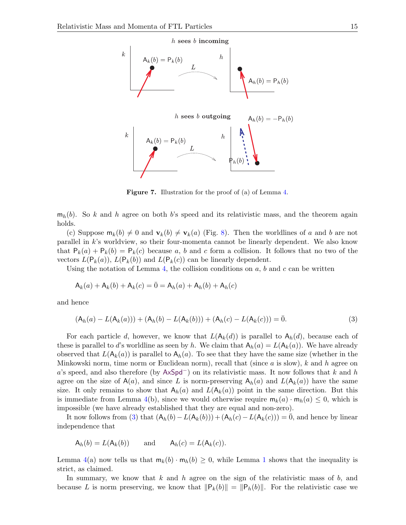

<span id="page-14-1"></span><span id="page-14-0"></span>Figure 7. Illustration for the proof of (a) of Lemma [4.](#page-13-1)

 $m_h(b)$ . So k and h agree on both b's speed and its relativistic mass, and the theorem again holds.

(c) Suppose  $m_k(b) \neq 0$  and  $v_k(b) \neq v_k(a)$  (Fig. [8\)](#page-15-0). Then the worldlines of a and b are not parallel in  $k$ 's worldview, so their four-momenta cannot be linearly dependent. We also know that  $P_k(a) + P_k(b) = P_k(c)$  because a, b and c form a collision. It follows that no two of the vectors  $L(P_k(a))$ ,  $L(P_k(b))$  and  $L(P_k(c))$  can be linearly dependent.

Using the notation of Lemma [4,](#page-13-1) the collision conditions on  $a, b$  and  $c$  can be written

$$
A_k(a) + A_k(b) + A_k(c) = \overline{0} = A_h(a) + A_h(b) + A_h(c)
$$

and hence

$$
(A_h(a) - L(A_k(a))) + (A_h(b) - L(A_k(b))) + (A_h(c) - L(A_k(c))) = \overline{0}.
$$
\n(3)

For each particle d, however, we know that  $L(A_k(d))$  is parallel to  $A_k(d)$ , because each of these is parallel to d's worldline as seen by h. We claim that  $A_h(a) = L(A_k(a))$ . We have already observed that  $L(A_k(a))$  is parallel to  $A_k(a)$ . To see that they have the same size (whether in the Minkowski norm, time norm or Euclidean norm), recall that (since  $a$  is slow),  $k$  and  $h$  agree on a's speed, and also therefore (by  $AxSpd^-$ ) on its relativistic mass. It now follows that k and h agree on the size of  $A(a)$ , and since L is norm-preserving  $A_h(a)$  and  $L(A_k(a))$  have the same size. It only remains to show that  $A_h(a)$  and  $L(A_h(a))$  point in the same direction. But this is immediate from Lemma [4\(](#page-13-1)b), since we would otherwise require  $m_k(a) \cdot m_h(a) \leq 0$ , which is impossible (we have already established that they are equal and non-zero).

It now follows from [\(3\)](#page-14-1) that  $(A_h(b) - L(A_k(b))) + (A_h(c) - L(A_k(c))) = 0$ , and hence by linear independence that

$$
A_h(b) = L(A_k(b)) \quad \text{and} \quad A_h(c) = L(A_k(c)).
$$

Lemma [4\(](#page-13-1)a) now tells us that  $m_k(b) \cdot m_h(b) \geq 0$ , while Lemma [1](#page-11-1) shows that the inequality is strict, as claimed.

In summary, we know that  $k$  and  $h$  agree on the sign of the relativistic mass of  $b$ , and because L is norm preserving, we know that  $\Vert P_k(b)\Vert = \Vert P_h(b)\Vert$ . For the relativistic case we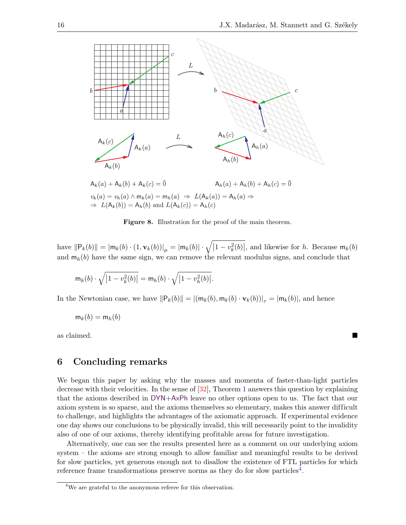

<span id="page-15-0"></span>Figure 8. Illustration for the proof of the main theorem.

have  $||\mathsf{P}_k(b)|| = |\mathsf{m}_k(b) \cdot (1, \mathbf{v}_k(b))|_{\mu} = |\mathsf{m}_k(b)| \cdot \sqrt{|1-v_k^2(b)|}$ , and likewise for h. Because  $\mathsf{m}_k(b)$ and  $m_h(b)$  have the same sign, we can remove the relevant modulus signs, and conclude that

$$
\mathsf{m}_k(b) \cdot \sqrt{\left|1 - v_k^2(b)\right|} = \mathsf{m}_h(b) \cdot \sqrt{\left|1 - v_h^2(b)\right|}.
$$

In the Newtonian case, we have  $||P_k(b)|| = |(m_k(b), m_k(b) \cdot v_k(b))|_{\tau} = |m_k(b)|$ , and hence

$$
\mathsf{m}_k(b) = \mathsf{m}_h(b)
$$

as claimed.

### 6 Concluding remarks

We began this paper by asking why the masses and momenta of faster-than-light particles decrease with their velocities. In the sense of [\[32\]](#page-20-8), Theorem [1](#page-9-0) answers this question by explaining that the axioms described in DYN+AxPh leave no other options open to us. The fact that our axiom system is so sparse, and the axioms themselves so elementary, makes this answer difficult to challenge, and highlights the advantages of the axiomatic approach. If experimental evidence one day shows our conclusions to be physically invalid, this will necessarily point to the invalidity also of one of our axioms, thereby identifying profitable areas for future investigation.

Alternatively, one can see the results presented here as a comment on our underlying axiom system – the axioms are strong enough to allow familiar and meaningful results to be derived for slow particles, yet generous enough not to disallow the existence of FTL particles for which reference frame transformations preserve norms as they do for slow particles<sup>[4](#page-15-1)</sup>.

<span id="page-15-1"></span><sup>&</sup>lt;sup>4</sup>We are grateful to the anonymous referee for this observation.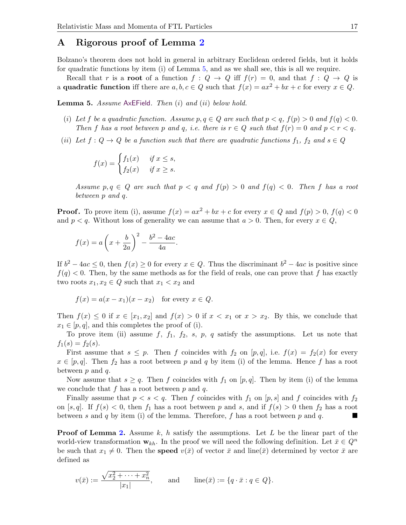### A Rigorous proof of Lemma [2](#page-12-0)

Bolzano's theorem does not hold in general in arbitrary Euclidean ordered fields, but it holds for quadratic functions by item (i) of Lemma [5,](#page-16-0) and as we shall see, this is all we require.

Recall that r is a root of a function  $f: Q \to Q$  iff  $f(r) = 0$ , and that  $f: Q \to Q$  is a **quadratic function** iff there are  $a, b, c \in Q$  such that  $f(x) = ax^2 + bx + c$  for every  $x \in Q$ .

<span id="page-16-0"></span>**Lemma 5.** Assume  $AxEField$ . Then  $(i)$  and  $(ii)$  below hold.

- (i) Let f be a quadratic function. Assume  $p, q \in Q$  are such that  $p < q$ ,  $f(p) > 0$  and  $f(q) < 0$ . Then f has a root between p and q, i.e. there is  $r \in Q$  such that  $f(r) = 0$  and  $p < r < q$ .
- (ii) Let  $f: Q \to Q$  be a function such that there are quadratic functions  $f_1, f_2$  and  $s \in Q$

$$
f(x) = \begin{cases} f_1(x) & \text{if } x \le s, \\ f_2(x) & \text{if } x \ge s. \end{cases}
$$

Assume  $p, q \in Q$  are such that  $p < q$  and  $f(p) > 0$  and  $f(q) < 0$ . Then f has a root between p and q.

**Proof.** To prove item (i), assume  $f(x) = ax^2 + bx + c$  for every  $x \in Q$  and  $f(p) > 0$ ,  $f(q) < 0$ and  $p < q$ . Without loss of generality we can assume that  $a > 0$ . Then, for every  $x \in Q$ ,

.

$$
f(x) = a\left(x + \frac{b}{2a}\right)^2 - \frac{b^2 - 4ac}{4a}
$$

If  $b^2 - 4ac \leq 0$ , then  $f(x) \geq 0$  for every  $x \in Q$ . Thus the discriminant  $b^2 - 4ac$  is positive since  $f(q) < 0$ . Then, by the same methods as for the field of reals, one can prove that f has exactly two roots  $x_1, x_2 \in Q$  such that  $x_1 < x_2$  and

$$
f(x) = a(x - x_1)(x - x_2) \text{ for every } x \in Q.
$$

Then  $f(x) \leq 0$  if  $x \in [x_1, x_2]$  and  $f(x) > 0$  if  $x < x_1$  or  $x > x_2$ . By this, we conclude that  $x_1 \in [p, q]$ , and this completes the proof of (i).

To prove item (ii) assume f,  $f_1$ ,  $f_2$ ,  $s$ ,  $p$ ,  $q$  satisfy the assumptions. Let us note that  $f_1(s) = f_2(s)$ .

First assume that  $s \leq p$ . Then f coincides with  $f_2$  on  $[p, q]$ , i.e.  $f(x) = f_2(x)$  for every  $x \in [p,q]$ . Then  $f_2$  has a root between p and q by item (i) of the lemma. Hence f has a root between  $p$  and  $q$ .

Now assume that  $s \geq q$ . Then f coincides with  $f_1$  on  $[p, q]$ . Then by item (i) of the lemma we conclude that  $f$  has a root between  $p$  and  $q$ .

Finally assume that  $p < s < q$ . Then f coincides with  $f_1$  on  $[p, s]$  and f coincides with  $f_2$ on [s, q]. If  $f(s) < 0$ , then  $f_1$  has a root between p and s, and if  $f(s) > 0$  then  $f_2$  has a root between s and q by item (i) of the lemma. Therefore, f has a root between p and q.

**Proof of Lemma [2.](#page-12-0)** Assume  $k$ , h satisfy the assumptions. Let  $L$  be the linear part of the world-view transformation  $\mathbf{w}_{kh}$ . In the proof we will need the following definition. Let  $\bar{x} \in Q^n$ be such that  $x_1 \neq 0$ . Then the **speed**  $v(\bar{x})$  of vector  $\bar{x}$  and line( $\bar{x}$ ) determined by vector  $\bar{x}$  are defined as

$$
v(\bar{x}) := \frac{\sqrt{x_2^2 + \dots + x_n^2}}{|x_1|},
$$
 and  $\text{line}(\bar{x}) := \{q \cdot \bar{x} : q \in Q\}.$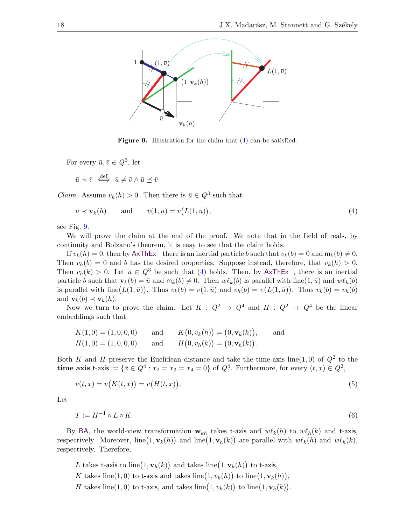

<span id="page-17-1"></span><span id="page-17-0"></span>Figure 9. Illustration for the claim that  $(4)$  can be satisfied.

For every  $\bar{u}, \bar{v} \in Q^3$ , let

 $\bar{u} \prec \bar{v} \iff \bar{u} \neq \bar{v} \land \bar{u} \preceq \bar{v}.$ 

*Claim.* Assume  $v_k(h) > 0$ . Then there is  $\bar{u} \in Q^3$  such that

$$
\bar{u} \prec \mathbf{v}_k(h) \quad \text{and} \quad v(1,\bar{u}) = v(L(1,\bar{u})), \tag{4}
$$

see Fig. [9.](#page-17-1)

We will prove the claim at the end of the proof. We note that in the field of reals, by continuity and Bolzano's theorem, it is easy to see that the claim holds.

If  $v_k(h) = 0$ , then by AxThEx<sup>-</sup> there is an inertial particle b such that  $v_k(b) = 0$  and  $m_k(b) \neq 0$ . Then  $v_h(b) = 0$  and b has the desired properties. Suppose instead, therefore, that  $v_k(h) > 0$ . Then  $v_h(k) > 0$ . Let  $\bar{u} \in Q^3$  be such that [\(4\)](#page-17-0) holds. Then, by AxThEx<sup>-</sup>, there is an inertial particle b such that  $\mathbf{v}_k(b) = \bar{u}$  and  $\mathbf{m}_k(b) \neq 0$ . Then  $w\ell_k(b)$  is parallel with line(1,  $\bar{u}$ ) and  $w\ell_h(b)$ is parallel with line $(L(1,\bar{u}))$ . Thus  $v_k(b) = v(1,\bar{u})$  and  $v_h(b) = v(L(1,\bar{u}))$ . Thus  $v_k(b) = v_h(b)$ and  $\mathbf{v}_k(b) \prec \mathbf{v}_k(h)$ .

Now we turn to prove the claim. Let  $K : Q^2 \to Q^4$  and  $H : Q^2 \to Q^4$  be the linear embeddings such that

$$
K(1,0) = (1,0,0,0)
$$
 and  $K(0, v_k(h)) = (0, \mathbf{v}_k(h)),$  and  
\n $H(1,0) = (1,0,0,0)$  and  $H(0, v_h(k)) = (0, \mathbf{v}_h(k)).$ 

Both K and H preserve the Euclidean distance and take the time-axis line(1,0) of  $Q^2$  to the time axis t-axis :=  $\{\bar{x} \in Q^4 : x_2 = x_3 = x_4 = 0\}$  of  $Q^4$ . Furthermore, for every  $(t, x) \in Q^2$ ,

<span id="page-17-2"></span>
$$
v(t,x) = v(K(t,x)) = v(H(t,x)).
$$
\n(5)

Let

<span id="page-17-3"></span>
$$
T := H^{-1} \circ L \circ K. \tag{6}
$$

By BA, the world-view transformation  $w_{kh}$  takes t-axis and  $w\ell_k(h)$  to  $w\ell_h(k)$  and t-axis, respectively. Moreover,  $\text{line}(1, \mathbf{v}_k(h))$  and  $\text{line}(1, \mathbf{v}_h(k))$  are parallel with  $w\ell_k(h)$  and  $w\ell_k(k)$ , respectively. Therefore,

- L takes t-axis to  $\text{line}(1, \mathbf{v}_h(k))$  and takes  $\text{line}(1, \mathbf{v}_k(h))$  to t-axis,
- K takes line(1,0) to t-axis and takes line(1, $v_k(h)$ ) to line(1, $\mathbf{v}_k(h)$ ),
- H takes line(1,0) to t-axis, and takes line(1, $v_h(k)$ ) to line(1, $\mathbf{v}_h(k)$ ).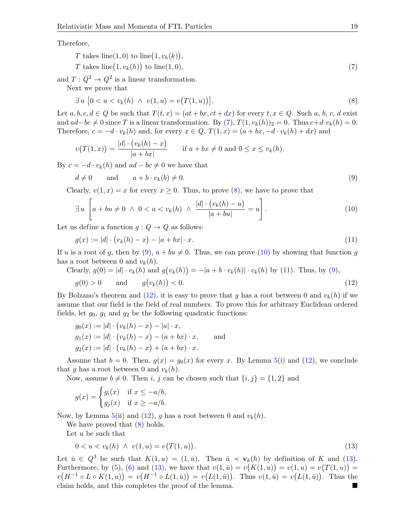Therefore,

<span id="page-18-0"></span>
$$
T \text{ takes line}(1,0) \text{ to line}(1,v_h(k)),
$$
  
\n
$$
T \text{ takes line}(1,v_k(h)) \text{ to line}(1,0),
$$
\n
$$
(7)
$$

and  $T: Q^2 \to Q^2$  is a linear transformation.

Next we prove that

<span id="page-18-1"></span>
$$
\exists u \ [0 < u < v_k(h) \ \land \ v(1, u) = v(T(1, u)) \]. \tag{8}
$$

Let  $a, b, c, d \in Q$  be such that  $T(t, x) = (at + bx, ct + dx)$  for every  $t, x \in Q$ . Such  $a, b, c, d$  exist and  $ad-bc \neq 0$  since T is a linear transformation. By  $(7)$ ,  $T(1, v_k(h))_2 = 0$ . Thus  $c+d \cdot v_k(h) = 0$ . Therefore,  $c = -d \cdot v_k(h)$  and, for every  $x \in Q$ ,  $T(1, x) = (a + bx, -d \cdot v_k(h) + dx)$  and

$$
v(T(1,x)) = \frac{|d| \cdot (v_k(h) - x)}{|a + bx|}
$$
 if  $a + bx \neq 0$  and  $0 \leq x \leq v_k(h)$ .

By  $c = -d \cdot v_k(h)$  and  $ad - bc \neq 0$  we have that

<span id="page-18-2"></span>
$$
d \neq 0 \qquad \text{and} \qquad a + b \cdot v_k(b) \neq 0. \tag{9}
$$

Clearly,  $v(1, x) = x$  for every  $x \ge 0$ . Thus, to prove [\(8\)](#page-18-1), we have to prove that

<span id="page-18-3"></span>
$$
\exists u \left[ a + bu \neq 0 \ \land \ 0 < u < v_k(h) \ \land \ \frac{|d| \cdot (v_k(h) - u)}{|a + bu|} = u \right]. \tag{10}
$$

Let us define a function  $g: Q \to Q$  as follows:

<span id="page-18-4"></span>
$$
g(x) := |d| \cdot \left( v_k(h) - x \right) - |a + bx| \cdot x. \tag{11}
$$

If u is a root of g, then by [\(9\)](#page-18-2),  $a + bu \neq 0$ . Thus, we can prove [\(10\)](#page-18-3) by showing that function g has a root between 0 and  $v_k(h)$ .

Clearly, 
$$
g(0) = |d| \cdot v_k(h)
$$
 and  $g(v_k(h)) = -|a + b \cdot v_k(h)| \cdot v_k(h)$  by (11). Thus, by (9),

<span id="page-18-5"></span>
$$
g(0) > 0 \qquad \text{and} \qquad g\big(v_k(h)\big) < 0. \tag{12}
$$

By Bolzano's theorem and [\(12\)](#page-18-5), it is easy to prove that g has a root between 0 and  $v_k(h)$  if we assume that our field is the field of real numbers. To prove this for arbitrary Euclidean ordered fields, let  $g_0$ ,  $g_1$  and  $g_2$  be the following quadratic functions:

$$
g_0(x) := |d| \cdot (v_k(h) - x) - |a| \cdot x,
$$
  
\n
$$
g_1(x) := |d| \cdot (v_k(h) - x) - (a + bx) \cdot x,
$$
 and  
\n
$$
g_2(x) := |d| \cdot (v_k(h) - x) + (a + bx) \cdot x.
$$

Assume that  $b = 0$ . Then,  $g(x) = g_0(x)$  for every x. By Lemma [5\(](#page-16-0)i) and [\(12\)](#page-18-5), we conclude that g has a root between 0 and  $v_k(h)$ .

Now, assume  $b \neq 0$ . Then i, j can be chosen such that  $\{i, j\} = \{1, 2\}$  and

$$
g(x) = \begin{cases} g_i(x) & \text{if } x \le -a/b, \\ g_j(x) & \text{if } x \ge -a/b. \end{cases}
$$

Now, by Lemma [5\(](#page-16-0)ii) and [\(12\)](#page-18-5), g has a root between 0 and  $v_k(h)$ .

We have proved that  $(8)$  holds.

Let  $u$  be such that

<span id="page-18-6"></span>
$$
0 < u < v_k(h) \land v(1, u) = v(T(1, u)).\tag{13}
$$

Let  $\bar{u} \in Q^3$  be such that  $K(1, u) = (1, \bar{u})$ . Then  $\bar{u} \prec \mathbf{v}_k(h)$  by definition of K and [\(13\)](#page-18-6). Furthermore, by [\(5\)](#page-17-2), [\(6\)](#page-17-3) and [\(13\)](#page-18-6), we have that  $v(1,\bar{u}) = v(K(1,u)) = v(1,u) = v(T(1,u)) =$  $v(H^{-1} \circ L \circ K(1, u)) = v(H^{-1} \circ L(1, \bar{u})) = v(L(1, \bar{u})).$  Thus  $v(1, \bar{u}) = v(L(1, \bar{u})).$  Thus the claim holds, and this completes the proof of the lemma.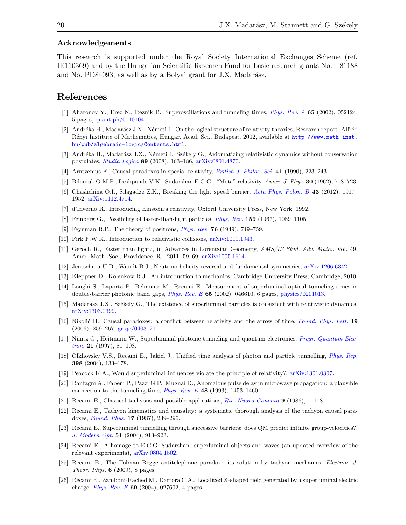### Acknowledgements

This research is supported under the Royal Society International Exchanges Scheme (ref. IE110369) and by the Hungarian Scientific Research Fund for basic research grants No. T81188 and No. PD84093, as well as by a Bolyai grant for J.X. Madarász.

### References

- <span id="page-19-18"></span>[1] Aharonov Y., Erez N., Reznik B., Superoscillations and tunneling times, [Phys. Rev. A](http://dx.doi.org/10.1103/PhysRevA.65.052124) 65 (2002), 052124, 5 pages, [quant-ph/0110104.](http://arxiv.org/abs/quant-ph/0110104)
- <span id="page-19-25"></span>[2] Andréka H., Madarász J.X., Németi I., On the logical structure of relativity theories, Research report, Alfréd R´enyi Institute of Mathematics, Hungar. Acad. Sci., Budapest, 2002, available at [http://www.math-inst.](http://www.math-inst.hu/pub/algebraic-logic/Contents.html) [hu/pub/algebraic-logic/Contents.html](http://www.math-inst.hu/pub/algebraic-logic/Contents.html).
- <span id="page-19-24"></span>[3] Andréka H., Madarász J.X., Németi I., Székely G., Axiomatizing relativistic dynamics without conservation postulates, [Studia Logica](http://dx.doi.org/10.1007/s11225-008-9125-6) 89 (2008), 163–186, [arXiv:0801.4870.](http://arxiv.org/abs/0801.4870)
- <span id="page-19-0"></span>[4] Arntzenius F., Causal paradoxes in special relativity, [British J. Philos. Sci.](http://dx.doi.org/10.1093/bjps/41.2.223) 41 (1990), 223–243.
- <span id="page-19-1"></span>[5] Bilaniuk O.M.P., Deshpande V.K., Sudarshan E.C.G., "Meta" relativity, Amer. J. Phys. 30 (1962), 718–723.
- <span id="page-19-2"></span>[6] Chashchina O.I., Silagadze Z.K., Breaking the light speed barrier, [Acta Phys. Polon. B](http://dx.doi.org/10.5506/APhysPolB.43.1917) 43 (2012), 1917– 1952, [arXiv:1112.4714.](http://arxiv.org/abs/1112.4714)
- <span id="page-19-22"></span>[7] d'Inverno R., Introducing Einstein's relativity, Oxford University Press, New York, 1992.
- <span id="page-19-3"></span>[8] Feinberg G., Possibility of faster-than-light particles, [Phys. Rev.](http://dx.doi.org/10.1103/PhysRev.159.1089) 159 (1967), 1089–1105.
- <span id="page-19-20"></span>[9] Feynman R.P., The theory of positrons, *[Phys. Rev.](http://dx.doi.org/10.1103/PhysRev.76.749)* **76** (1949), 749–759.
- <span id="page-19-21"></span>[10] Firk F.W.K., Introduction to relativistic collisions, [arXiv:1011.1943.](http://arxiv.org/abs/1011.1943)
- <span id="page-19-4"></span>[11] Geroch R., Faster than light?, in Advances in Lorentzian Geometry, AMS/IP Stud. Adv. Math., Vol. 49, Amer. Math. Soc., Providence, RI, 2011, 59–69, [arXiv:1005.1614.](http://arxiv.org/abs/1005.1614)
- <span id="page-19-5"></span>[12] Jentschura U.D., Wundt B.J., Neutrino helicity reversal and fundamental symmetries, [arXiv:1206.6342.](http://arxiv.org/abs/1206.6342)
- <span id="page-19-23"></span>[13] Kleppner D., Kolenkow R.J., An introduction to mechanics, Cambridge University Press, Cambridge, 2010.
- <span id="page-19-14"></span>[14] Longhi S., Laporta P., Belmonte M., Recami E., Measurement of superluminal optical tunneling times in double-barrier photonic band gaps, *[Phys. Rev. E](http://dx.doi.org/10.1103/PhysRevE.65.046610)* 65 (2002), 046610, 6 pages, [physics/0201013.](http://arxiv.org/abs/physics/0201013)
- <span id="page-19-19"></span>[15] Madarász J.X., Székely G., The existence of superluminal particles is consistent with relativistic dynamics, [arXiv:1303.0399.](http://arxiv.org/abs/1303.0399)
- <span id="page-19-6"></span>[16] Nikolić H., Causal paradoxes: a conflict between relativity and the arrow of time, [Found. Phys. Lett.](http://dx.doi.org/10.1007/s10702-006-0516-5) 19  $(2006), 259-267, \text{ gr-qc}/0403121.$
- <span id="page-19-15"></span>[17] Nimtz G., Heitmann W., Superluminal photonic tunneling and quantum electronics, [Progr. Quantum Elec](http://dx.doi.org/10.1016/S0079-6727(97)84686-1)*[tron.](http://dx.doi.org/10.1016/S0079-6727(97)84686-1)* **21** (1997), 81–108.
- <span id="page-19-17"></span>[18] Olkhovsky V.S., Recami E., Jakiel J., Unified time analysis of photon and particle tunnelling, [Phys. Rep.](http://dx.doi.org/10.1016/j.physrep.2004.06.001) 398 (2004), 133–178.
- <span id="page-19-7"></span>[19] Peacock K.A., Would superluminal influences violate the principle of relativity?, [arXiv:1301.0307.](http://arxiv.org/abs/1301.0307)
- <span id="page-19-16"></span>[20] Ranfagni A., Fabeni P., Pazzi G.P., Mugnai D., Anomalous pulse delay in microwave propagation: a plausible connection to the tunneling time, *[Phys. Rev. E](http://dx.doi.org/10.1103/PhysRevE.48.1453)* 48 (1993), 1453-1460.
- <span id="page-19-8"></span>[21] Recami E., Classical tachyons and possible applications, [Riv. Nuovo Cimento](http://dx.doi.org/10.1007/BF02724327) 9 (1986), 1–178.
- <span id="page-19-9"></span>[22] Recami E., Tachyon kinematics and causality: a systematic thorough analysis of the tachyon causal paradoxes, [Found. Phys.](http://dx.doi.org/10.1007/BF00733092) 17 (1987), 239–296.
- <span id="page-19-13"></span>[23] Recami E., Superluminal tunnelling through successive barriers: does QM predict infinite group-velocities?, [J. Modern Opt.](http://dx.doi.org/10.1080/09500340410001664386) 51 (2004), 913–923.
- <span id="page-19-12"></span>[24] Recami E., A homage to E.C.G. Sudarshan: superluminal objects and waves (an updated overview of the relevant experiments), [arXiv:0804.1502.](http://arxiv.org/abs/0804.1502)
- <span id="page-19-10"></span>[25] Recami E., The Tolman–Regge antitelephone paradox: its solution by tachyon mechanics, Electron. J. Theor. Phys. 6 (2009), 8 pages.
- <span id="page-19-11"></span>[26] Recami E., Zamboni-Rached M., Dartora C.A., Localized X-shaped field generated by a superluminal electric charge, *[Phys. Rev. E](http://dx.doi.org/10.1103/PhysRevE.69.027602)* 69 (2004), 027602, 4 pages.